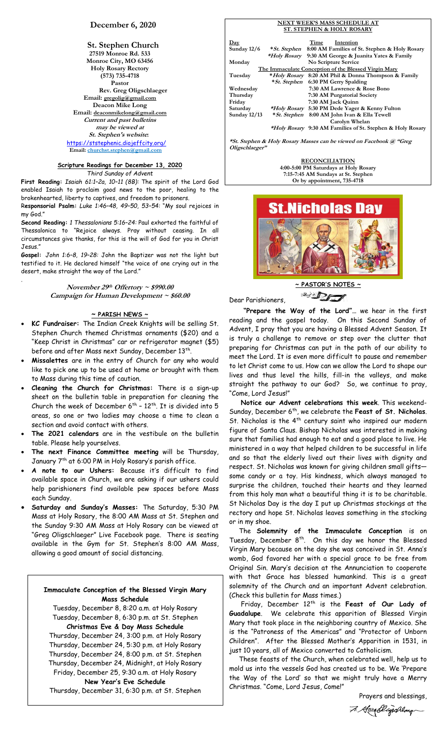# **December 6, 2020**

**St. Stephen Church 27519 Monroe Rd. 533 Monroe City, MO 63456 Holy Rosary Rectory (573) 735-4718 Pastor Rev. Greg Oligschlaeger Email: gregolig@gmail.com Deacon Mike Long Email: deaconmikelong@gmail.com Current and past bulletins may be viewed at St. Stephen's website:** <https://ststephenic.diojeffcity.org/> **Email: [churchst.stephen@gmail.com](mailto:churchst.stephen@gmail.com)**

# **Scripture Readings for December 13, 2020**

*Third Sunday of Advent*

**First Reading:** *Isaiah 61:1–2a, 10–11 (8B):* The spirit of the Lord God enabled Isaiah to proclaim good news to the poor, healing to the brokenhearted, liberty to captives, and freedom to prisoners.

R**esponsorial Psalm:** *Luke 1:46–48, 49–50, 53–54:* "My soul rejoices in my God."

**Second Reading:** *1 Thessalonians 5:16–24:* Paul exhorted the faithful of Thessalonica to "Rejoice always. Pray without ceasing. In all circumstances give thanks, for this is the will of God for you in Christ Jesus."

**Gospel:** *John 1:6–8, 19–28:* John the Baptizer was not the light but testified to it. He declared himself "the voice of one crying out in the desert, make straight the way of the Lord."

.

**November 29 th Offertory ~ \$990.00 Campaign for Human Development ~ \$60.00**

# **~ PARISH NEWS ~**

- **KC Fundraiser:** The Indian Creek Knights will be selling St. Stephen Church themed Christmas ornaments (\$20) and a "Keep Christ in Christmas" car or refrigerator magnet (\$5) before and after Mass next Sunday, December  $13^{\text{th}}$ .
- **Missalettes** are in the entry of Church for any who would like to pick one up to be used at home or brought with them to Mass during this time of caution.
- **Cleaning the Church for Christmas:** There is a sign-up sheet on the bulletin table in preparation for cleaning the Church the week of December  $6^{th}$  -  $12^{th}$ . It is divided into 5 areas, so one or two ladies may choose a time to clean a section and avoid contact with others.
- **The 2021 calendars** are in the vestibule on the bulletin table. Please help yourselves.
- **The next Finance Committee meeting** will be Thursday, January 7<sup>th</sup> at 6:00 PM in Holy Rosary's parish office.
- **A note to our Ushers:** Because it's difficult to find available space in Church, we are asking if our ushers could help parishioners find available pew spaces before Mass each Sunday.
- **Saturday and Sunday's Masses:** The Saturday, 5:30 PM Mass at Holy Rosary, the 8:00 AM Mass at St. Stephen and the Sunday 9:30 AM Mass at Holy Rosary can be viewed at "Greg Oligschlaeger" Live Facebook page. There is seating available in the Gym for St. Stephen's 8:00 AM Mass, allowing a good amount of social distancing.

# **Immaculate Conception of the Blessed Virgin Mary Mass Schedule**

Tuesday, December 8, 8:20 a.m. at Holy Rosary Tuesday, December 8, 6:30 p.m. at St. Stephen **Christmas Eve & Day Mass Schedule** Thursday, December 24, 3:00 p.m. at Holy Rosary

Thursday, December 24, 5:30 p.m. at Holy Rosary Thursday, December 24, 8:00 p.m. at St. Stephen Thursday, December 24, Midnight, at Holy Rosary Friday, December 25, 9:30 a.m. at Holy Rosary **New Year's Eve Schedule**

Thursday, December 31, 6:30 p.m. at St. Stephen

| <b>ST. STEPHEN &amp; HOLY ROSARY</b> |               |      |                                                                   |  |
|--------------------------------------|---------------|------|-------------------------------------------------------------------|--|
| $\mathbf{Day}$                       |               | Time | Intention                                                         |  |
| Sunday $12/6$                        |               |      | <i>*St. Stephen</i> 8:00 AM Families of St. Stephen & Holy Rosary |  |
|                                      |               |      | <i>*Holy Rosary</i> 9:30 AM George & Juanita Yates & Family       |  |
| Monday                               |               |      | No Scripture Service                                              |  |
|                                      |               |      | The Immaculate Conception of the Blessed Virgin Mary              |  |
| Tuesday                              |               |      | <i>*Holy Rosary</i> 8:20 AM Phil & Donna Thompson & Family        |  |
|                                      |               |      | <i>* St. Stephen</i> 6:30 PM Gerry Spalding                       |  |
| Wednesday                            |               |      | 7:30 AM Lawrence & Rose Bono                                      |  |
| Thursday                             |               |      | 7:30 AM Purgatorial Society                                       |  |
| Friday                               |               |      | 7:30 AM Jack Quinn                                                |  |
| Saturday                             |               |      | <i>*Holy Rosary</i> 5:30 PM Dede Yager & Kenny Fulton             |  |
| Sunday $12/13$                       | * St. Stephen |      | 8:00 AM John Ivan & Ella Tewell                                   |  |
|                                      |               |      | Carolyn Whelan                                                    |  |

**NEXT WEEK'S MASS SCHEDULE AT**

 **\*Holy Rosary 9:30 AM Families of St. Stephen & Holy Rosary**

**\*St. Stephen & Holy Rosary Masses can be viewed on Facebook @ "Greg Oligschlaeger"**

> **RECONCILIATION 4:00-5:00 PM Saturdays at Holy Rosary 7:15-7:45 AM Sundays at St. Stephen Or by appointment, 735-4718**



Dear Parishioners,



 **"Prepare the Way of the Lord"…** we hear in the first reading and the gospel today. On this Second Sunday of Advent, I pray that you are having a Blessed Advent Season. It is truly a challenge to remove or step over the clutter that preparing for Christmas can put in the path of our ability to meet the Lord. It is even more difficult to pause and remember to let Christ come to us. How can we allow the Lord to shape our lives and thus level the hills, fill-in the valleys, and make straight the pathway to our God? So, we continue to pray, "Come, Lord Jesus!"

 **Notice our Advent celebrations this week**. This weekend-Sunday, December 6th , we celebrate the **Feast of St. Nicholas**. St. Nicholas is the 4<sup>th</sup> century saint who inspired our modern figure of Santa Claus. Bishop Nicholas was interested in making sure that families had enough to eat and a good place to live. He ministered in a way that helped children to be successful in life and so that the elderly lived out their lives with dignity and respect. St. Nicholas was known for giving children small gifts some candy or a toy. His kindness, which always managed to surprise the children, touched their hearts and they learned from this holy man what a beautiful thing it is to be charitable. St Nicholas Day is the day I put up Christmas stockings at the rectory and hope St. Nicholas leaves something in the stocking or in my shoe.

 The **Solemnity of the Immaculate Conception** is on Tuesday, December  $8^{th}$ . On this day we honor the Blessed Virgin Mary because on the day she was conceived in St. Anna's womb, God favored her with a special grace to be free from Original Sin. Mary's decision at the Annunciation to cooperate with that Grace has blessed humankind. This is a great solemnity of the Church and an important Advent celebration. (Check this bulletin for Mass times.)

Friday, December 12<sup>th</sup> is the **Feast of Our Lady of Guadalupe**. We celebrate this apparition of Blessed Virgin Mary that took place in the neighboring country of Mexico. She is the "Patroness of the Americas" and "Protector of Unborn Children". After the Blessed Mother's Apparition in 1531, in just 10 years, all of Mexico converted to Catholicism.

 These feasts of the Church, when celebrated well, help us to mold us into the vessels God has created us to be. We 'Prepare the Way of the Lord' so that we might truly have a Merry Christmas. "Come, Lord Jesus, Come!"

> Prayers and blessings, 7. Greatligarlage